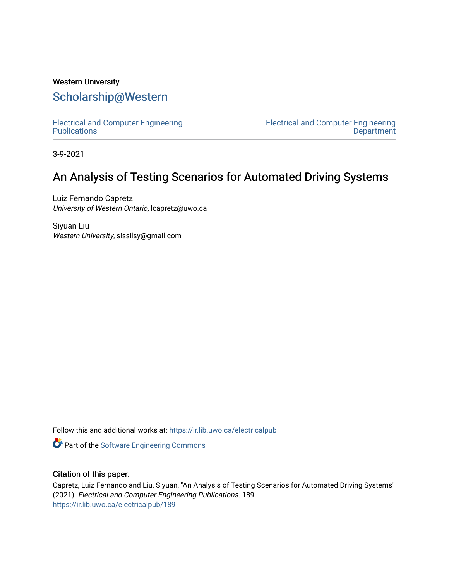## Western University [Scholarship@Western](https://ir.lib.uwo.ca/)

[Electrical and Computer Engineering](https://ir.lib.uwo.ca/electricalpub) **Publications** 

[Electrical and Computer Engineering](https://ir.lib.uwo.ca/electrical)  **Department** 

3-9-2021

## An Analysis of Testing Scenarios for Automated Driving Systems

Luiz Fernando Capretz University of Western Ontario, lcapretz@uwo.ca

Siyuan Liu Western University, sissilsy@gmail.com

Follow this and additional works at: [https://ir.lib.uwo.ca/electricalpub](https://ir.lib.uwo.ca/electricalpub?utm_source=ir.lib.uwo.ca%2Felectricalpub%2F189&utm_medium=PDF&utm_campaign=PDFCoverPages) 

Part of the [Software Engineering Commons](http://network.bepress.com/hgg/discipline/150?utm_source=ir.lib.uwo.ca%2Felectricalpub%2F189&utm_medium=PDF&utm_campaign=PDFCoverPages) 

### Citation of this paper:

Capretz, Luiz Fernando and Liu, Siyuan, "An Analysis of Testing Scenarios for Automated Driving Systems" (2021). Electrical and Computer Engineering Publications. 189. [https://ir.lib.uwo.ca/electricalpub/189](https://ir.lib.uwo.ca/electricalpub/189?utm_source=ir.lib.uwo.ca%2Felectricalpub%2F189&utm_medium=PDF&utm_campaign=PDFCoverPages)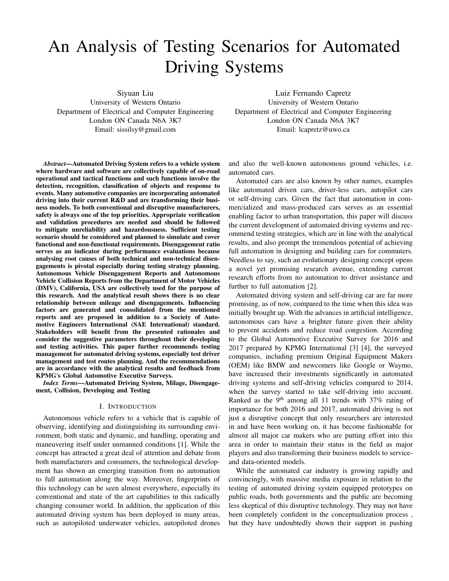# An Analysis of Testing Scenarios for Automated Driving Systems

Siyuan Liu

University of Western Ontario Department of Electrical and Computer Engineering London ON Canada N6A 3K7 Email: sissilsy@gmail.com

*Abstract*—Automated Driving System refers to a vehicle system where hardware and software are collectively capable of on-road operational and tactical functions and such functions involve the detection, recognition, classification of objects and response to events. Many automotive companies are incorporating automated driving into their current R&D and are transforming their business models. To both conventional and disruptive manufacturers, safety is always one of the top priorities. Appropriate verification and validation procedures are needed and should be followed to mitigate unreliability and hazardousness. Sufficient testing scenario should be considered and planned to simulate and cover functional and non-functional requirements. Disengagement ratio serves as an indicator during performance evaluations because analysing root causes of both technical and non-technical disengagements is pivotal especially during testing strategy planning. Autonomous Vehicle Disengagement Reports and Autonomous Vehicle Collision Reports from the Department of Motor Vehicles (DMV), California, USA are collectively used for the purpose of this research. And the analytical result shows there is no clear relationship between mileage and disengagements. Influencing factors are generated and consolidated from the mentioned reports and are proposed in addition to a Society of Automotive Engineers International (SAE International) standard. Stakeholders will benefit from the presented rationales and consider the suggestive parameters throughout their developing and testing activities. This paper further recommends testing management for automated driving systems, especially test driver management and test routes planning. And the recommendations are in accordance with the analytical results and feedback from KPMG's Global Automotive Executive Surveys.

*Index Terms*—Automated Driving System, Milage, Disengagement, Collision, Developing and Testing

#### I. INTRODUCTION

Autonomous vehicle refers to a vehicle that is capable of observing, identifying and distinguishing its surrounding environment, both static and dynamic, and handling, operating and maneuvering itself under unmanned conditions [1]. While the concept has attracted a great deal of attention and debate from both manufacturers and consumers, the technological development has shown an emerging transition from no automation to full automation along the way. Moreover, fingerprints of this technology can be seen almost everywhere, especially its conventional and state of the art capabilities in this radically changing consumer world. In addition, the application of this automated driving system has been deployed in many areas, such as autopiloted underwater vehicles, autopiloted drones

Luiz Fernando Capretz University of Western Ontario Department of Electrical and Computer Engineering London ON Canada N6A 3K7 Email: lcapretz@uwo.ca

and also the well-known autonomous ground vehicles, i.e. automated cars.

Automated cars are also known by other names, examples like automated driven cars, driver-less cars, autopilot cars or self-driving cars. Given the fact that automation in commercialized and mass-produced cars serves as an essential enabling factor to urban transportation, this paper will discuss the current development of automated driving systems and recommend testing strategies, which are in line with the analytical results, and also prompt the tremendous potential of achieving full automation in designing and building cars for commuters. Needless to say, such an evolutionary designing concept opens a novel yet promising research avenue, extending current research efforts from no automation to driver assistance and further to full automation [2].

Automated driving system and self-driving car are far more promising, as of now, compared to the time when this idea was initially brought up. With the advances in artificial intelligence, autonomous cars have a brighter future given their ability to prevent accidents and reduce road congestion. According to the Global Automotive Executive Survey for 2016 and 2017 prepared by KPMG International [3] [4], the surveyed companies, including premium Original Equipment Makers (OEM) like BMW and newcomers like Google or Waymo, have increased their investments significantly in automated driving systems and self-driving vehicles compared to 2014, when the survey started to take self-driving into account. Ranked as the 9<sup>th</sup> among all 11 trends with  $37\%$  rating of importance for both 2016 and 2017, automated driving is not just a disruptive concept that only researchers are interested in and have been working on, it has become fashionable for almost all major car makers who are putting effort into this area in order to maintain their status in the field as major players and also transforming their business models to serviceand data-oriented models.

While the automated car industry is growing rapidly and convincingly, with massive media exposure in relation to the testing of automated driving system equipped prototypes on public roads, both governments and the public are becoming less skeptical of this disruptive technology. They may not have been completely confident in the conceptualization process , but they have undoubtedly shown their support in pushing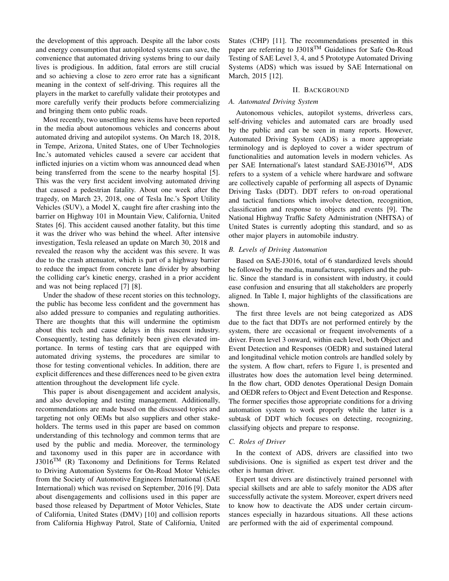the development of this approach. Despite all the labor costs and energy consumption that autopiloted systems can save, the convenience that automated driving systems bring to our daily lives is prodigious. In addition, fatal errors are still crucial and so achieving a close to zero error rate has a significant meaning in the context of self-driving. This requires all the players in the market to carefully validate their prototypes and more carefully verify their products before commercializing and bringing them onto public roads.

Most recently, two unsettling news items have been reported in the media about autonomous vehicles and concerns about automated driving and autopilot systems. On March 18, 2018, in Tempe, Arizona, United States, one of Uber Technologies Inc.'s automated vehicles caused a severe car accident that inflicted injuries on a victim whom was announced dead when being transferred from the scene to the nearby hospital [5]. This was the very first accident involving automated driving that caused a pedestrian fatality. About one week after the tragedy, on March 23, 2018, one of Tesla Inc.'s Sport Utility Vehicles (SUV), a Model X, caught fire after crashing into the barrier on Highway 101 in Mountain View, California, United States [6]. This accident caused another fatality, but this time it was the driver who was behind the wheel. After intensive investigation, Tesla released an update on March 30, 2018 and revealed the reason why the accident was this severe. It was due to the crash attenuator, which is part of a highway barrier to reduce the impact from concrete lane divider by absorbing the colliding car's kinetic energy, crashed in a prior accident and was not being replaced [7] [8].

Under the shadow of these recent stories on this technology, the public has become less confident and the government has also added pressure to companies and regulating authorities. There are thoughts that this will undermine the optimism about this tech and cause delays in this nascent industry. Consequently, testing has definitely been given elevated importance. In terms of testing cars that are equipped with automated driving systems, the procedures are similar to those for testing conventional vehicles. In addition, there are explicit differences and these differences need to be given extra attention throughout the development life cycle.

This paper is about disengagement and accident analysis, and also developing and testing management. Additionally, recommendations are made based on the discussed topics and targeting not only OEMs but also suppliers and other stakeholders. The terms used in this paper are based on common understanding of this technology and common terms that are used by the public and media. Moreover, the terminology and taxonomy used in this paper are in accordance with J3016<sup>TM</sup> (R) Taxonomy and Definitions for Terms Related to Driving Automation Systems for On-Road Motor Vehicles from the Society of Automotive Engineers International (SAE International) which was revised on September, 2016 [9]. Data about disengagements and collisions used in this paper are based those released by Department of Motor Vehicles, State of California, United States (DMV) [10] and collision reports from California Highway Patrol, State of California, United States (CHP) [11]. The recommendations presented in this paper are referring to J3018TM Guidelines for Safe On-Road Testing of SAE Level 3, 4, and 5 Prototype Automated Driving Systems (ADS) which was issued by SAE International on March, 2015 [12].

#### II. BACKGROUND

#### *A. Automated Driving System*

Autonomous vehicles, autopilot systems, driverless cars, self-driving vehicles and automated cars are broadly used by the public and can be seen in many reports. However, Automated Driving System (ADS) is a more appropriate terminology and is deployed to cover a wider spectrum of functionalities and automation levels in modern vehicles. As per SAE International's latest standard SAE-J3016<sup>TM</sup>, ADS refers to a system of a vehicle where hardware and software are collectively capable of performing all aspects of Dynamic Driving Tasks (DDT). DDT refers to on-road operational and tactical functions which involve detection, recognition, classification and response to objects and events [9]. The National Highway Traffic Safety Administration (NHTSA) of United States is currently adopting this standard, and so as other major players in automobile industry.

#### *B. Levels of Driving Automation*

Based on SAE-J3016, total of 6 standardized levels should be followed by the media, manufactures, suppliers and the public. Since the standard is in consistent with industry, it could ease confusion and ensuring that all stakeholders are properly aligned. In Table I, major highlights of the classifications are shown.

The first three levels are not being categorized as ADS due to the fact that DDTs are not performed entirely by the system, there are occasional or frequent involvements of a driver. From level 3 onward, within each level, both Object and Event Detection and Responses (OEDR) and sustained lateral and longitudinal vehicle motion controls are handled solely by the system. A flow chart, refers to Figure 1, is presented and illustrates how does the automation level being determined. In the flow chart, ODD denotes Operational Design Domain and OEDR refers to Object and Event Detection and Response. The former specifies those appropriate conditions for a driving automation system to work properly while the latter is a subtask of DDT which focuses on detecting, recognizing, classifying objects and prepare to response.

#### *C. Roles of Driver*

In the context of ADS, drivers are classified into two subdivisions. One is signified as expert test driver and the other is human driver.

Expert test drivers are distinctively trained personnel with special skillsets and are able to safely monitor the ADS after successfully activate the system. Moreover, expert drivers need to know how to deactivate the ADS under certain circumstances especially in hazardous situations. All these actions are performed with the aid of experimental compound.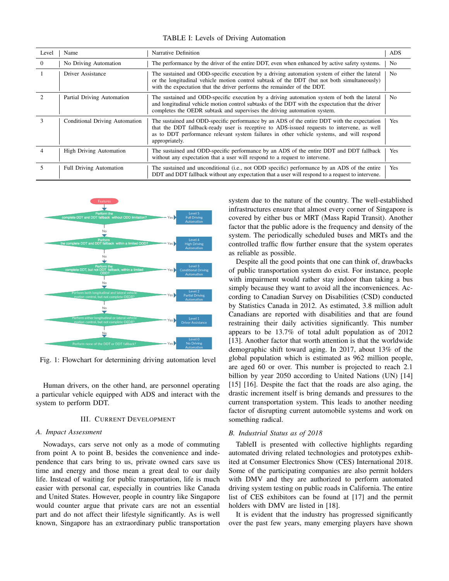TABLE I: Levels of Driving Automation

| Level        | Name                           | Narrative Definition                                                                                                                                                                                                                                                                                     | ADS |
|--------------|--------------------------------|----------------------------------------------------------------------------------------------------------------------------------------------------------------------------------------------------------------------------------------------------------------------------------------------------------|-----|
| $\theta$     | No Driving Automation          | The performance by the driver of the entire DDT, even when enhanced by active safety systems.                                                                                                                                                                                                            | No. |
|              | Driver Assistance              | The sustained and ODD-specific execution by a driving automation system of either the lateral<br>or the longitudinal vehicle motion control subtask of the DDT (but not both simultaneously)<br>with the expectation that the driver performs the remainder of the DDT.                                  | No  |
|              | Partial Driving Automation     | The sustained and ODD-specific execution by a driving automation system of both the lateral<br>and longitudinal vehicle motion control subtasks of the DDT with the expectation that the driver<br>completes the OEDR subtask and supervises the driving automation system.                              | No. |
| $\mathbf{3}$ | Conditional Driving Automation | The sustained and ODD-specific performance by an ADS of the entire DDT with the expectation<br>that the DDT fallback-ready user is receptive to ADS-issued requests to intervene, as well<br>as to DDT performance relevant system failures in other vehicle systems, and will respond<br>appropriately. | Yes |
|              | <b>High Driving Automation</b> | The sustained and ODD-specific performance by an ADS of the entire DDT and DDT fallback<br>without any expectation that a user will respond to a request to intervene.                                                                                                                                   | Yes |
|              | <b>Full Driving Automation</b> | The sustained and unconditional (i.e., not ODD specific) performance by an ADS of the entire<br>DDT and DDT fallback without any expectation that a user will respond to a request to intervene.                                                                                                         | Yes |



Fig. 1: Flowchart for determining driving automation level

Human drivers, on the other hand, are personnel operating a particular vehicle equipped with ADS and interact with the system to perform DDT.

#### III. CURRENT DEVELOPMENT

#### *A. Impact Assessment*

Nowadays, cars serve not only as a mode of commuting from point A to point B, besides the convenience and independence that cars bring to us, private owned cars save us time and energy and those mean a great deal to our daily life. Instead of waiting for public transportation, life is much easier with personal car, especially in countries like Canada and United States. However, people in country like Singapore would counter argue that private cars are not an essential part and do not affect their lifestyle significantly. As is well known, Singapore has an extraordinary public transportation system due to the nature of the country. The well-established infrastructures ensure that almost every corner of Singapore is covered by either bus or MRT (Mass Rapid Transit). Another factor that the public adore is the frequency and density of the system. The periodically scheduled buses and MRTs and the controlled traffic flow further ensure that the system operates as reliable as possible.

Despite all the good points that one can think of, drawbacks of public transportation system do exist. For instance, people with impairment would rather stay indoor than taking a bus simply because they want to avoid all the inconveniences. According to Canadian Survey on Disabilities (CSD) conducted by Statistics Canada in 2012. As estimated, 3.8 million adult Canadians are reported with disabilities and that are found restraining their daily activities significantly. This number appears to be 13.7% of total adult population as of 2012 [13]. Another factor that worth attention is that the worldwide demographic shift toward aging. In 2017, about 13% of the global population which is estimated as 962 million people, are aged 60 or over. This number is projected to reach 2.1 billion by year 2050 according to United Nations (UN) [14] [15] [16]. Despite the fact that the roads are also aging, the drastic increment itself is bring demands and pressures to the current transportation system. This leads to another needing factor of disrupting current automobile systems and work on something radical.

#### *B. Industrial Status as of 2018*

TableII is presented with collective highlights regarding automated driving related technologies and prototypes exhibited at Consumer Electronics Show (CES) International 2018. Some of the participating companies are also permit holders with DMV and they are authorized to perform automated driving system testing on public roads in California. The entire list of CES exhibitors can be found at [17] and the permit holders with DMV are listed in [18].

It is evident that the industry has progressed significantly over the past few years, many emerging players have shown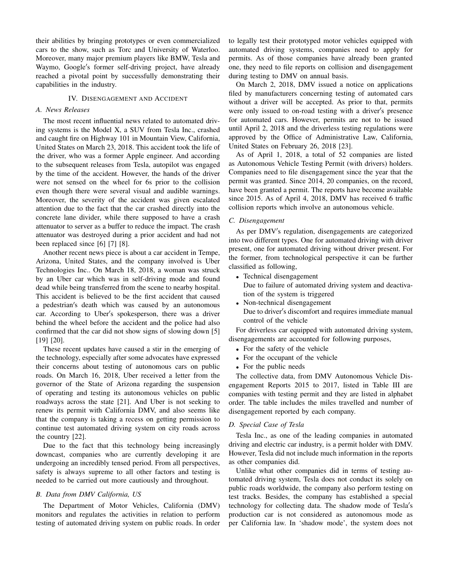their abilities by bringing prototypes or even commercialized cars to the show, such as Torc and University of Waterloo. Moreover, many major premium players like BMW, Tesla and Waymo, Google's former self-driving project, have already reached a pivotal point by successfully demonstrating their capabilities in the industry.

#### IV. DISENGAGEMENT AND ACCIDENT

#### *A. News Releases*

The most recent influential news related to automated driving systems is the Model X, a SUV from Tesla Inc., crashed and caught fire on Highway 101 in Mountain View, California, United States on March 23, 2018. This accident took the life of the driver, who was a former Apple engineer. And according to the subsequent releases from Tesla, autopilot was engaged by the time of the accident. However, the hands of the driver were not sensed on the wheel for 6s prior to the collision even though there were several visual and audible warnings. Moreover, the severity of the accident was given escalated attention due to the fact that the car crashed directly into the concrete lane divider, while there supposed to have a crash attenuator to server as a buffer to reduce the impact. The crash attenuator was destroyed during a prior accident and had not been replaced since [6] [7] [8].

Another recent news piece is about a car accident in Tempe, Arizona, United States, and the company involved is Uber Technologies Inc.. On March 18, 2018, a woman was struck by an Uber car which was in self-driving mode and found dead while being transferred from the scene to nearby hospital. This accident is believed to be the first accident that caused a pedestrian's death which was caused by an autonomous car. According to Uber's spokesperson, there was a driver behind the wheel before the accident and the police had also confirmed that the car did not show signs of slowing down [5] [19] [20].

These recent updates have caused a stir in the emerging of the technology, especially after some advocates have expressed their concerns about testing of autonomous cars on public roads. On March 16, 2018, Uber received a letter from the governor of the State of Arizona regarding the suspension of operating and testing its autonomous vehicles on public roadways across the state [21]. And Uber is not seeking to renew its permit with California DMV, and also seems like that the company is taking a recess on getting permission to continue test automated driving system on city roads across the country [22].

Due to the fact that this technology being increasingly downcast, companies who are currently developing it are undergoing an incredibly tensed period. From all perspectives, safety is always supreme to all other factors and testing is needed to be carried out more cautiously and throughout.

#### *B. Data from DMV California, US*

The Department of Motor Vehicles, California (DMV) monitors and regulates the activities in relation to perform testing of automated driving system on public roads. In order to legally test their prototyped motor vehicles equipped with automated driving systems, companies need to apply for permits. As of those companies have already been granted one, they need to file reports on collision and disengagement during testing to DMV on annual basis.

On March 2, 2018, DMV issued a notice on applications filed by manufacturers concerning testing of automated cars without a driver will be accepted. As prior to that, permits were only issued to on-road testing with a driver's presence for automated cars. However, permits are not to be issued until April 2, 2018 and the driverless testing regulations were approved by the Office of Administrative Law, California, United States on February 26, 2018 [23].

As of April 1, 2018, a total of 52 companies are listed as Autonomous Vehicle Testing Permit (with drivers) holders. Companies need to file disengagement since the year that the permit was granted. Since 2014, 20 companies, on the record, have been granted a permit. The reports have become available since 2015. As of April 4, 2018, DMV has received 6 traffic collision reports which involve an autonomous vehicle.

#### *C. Disengagement*

As per DMV's regulation, disengagements are categorized into two different types. One for automated driving with driver present, one for automated driving without driver present. For the former, from technological perspective it can be further classified as following,

- Technical disengagement
	- Due to failure of automated driving system and deactivation of the system is triggered
- Non-technical disengagement Due to driver's discomfort and requires immediate manual control of the vehicle

For driverless car equipped with automated driving system, disengagements are accounted for following purposes,

- For the safety of the vehicle
- For the occupant of the vehicle
- For the public needs

The collective data, from DMV Autonomous Vehicle Disengagement Reports 2015 to 2017, listed in Table III are companies with testing permit and they are listed in alphabet order. The table includes the miles travelled and number of disengagement reported by each company.

#### *D. Special Case of Tesla*

Tesla Inc., as one of the leading companies in automated driving and electric car industry, is a permit holder with DMV. However, Tesla did not include much information in the reports as other companies did.

Unlike what other companies did in terms of testing automated driving system, Tesla does not conduct its solely on public roads worldwide, the company also perform testing on test tracks. Besides, the company has established a special technology for collecting data. The shadow mode of Tesla's production car is not considered as autonomous mode as per California law. In 'shadow mode', the system does not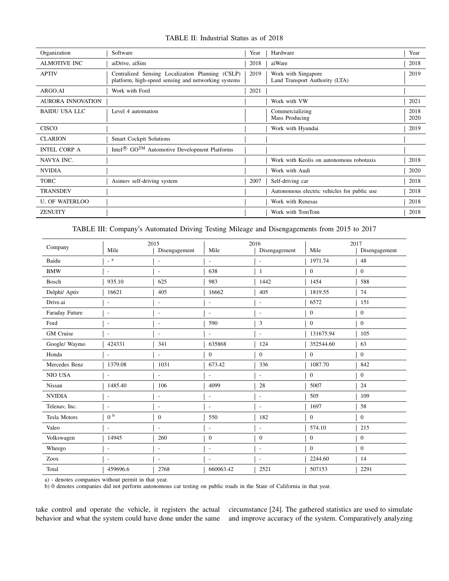| Organization          | Software                                                                                                | Year | Hardware                                              | Year         |
|-----------------------|---------------------------------------------------------------------------------------------------------|------|-------------------------------------------------------|--------------|
| <b>ALMOTIVE INC</b>   | aiDrive, aiSim                                                                                          | 2018 | aiWare                                                | 2018         |
| <b>APTIV</b>          | Centralized Sensing Localization Planning (CSLP)<br>platform, high-speed sensing and networking systems | 2019 | Work with Singapore<br>Land Transport Authority (LTA) | 2019         |
| ARGO.AI               | Work with Ford                                                                                          | 2021 |                                                       |              |
| AURORA INNOVATION     |                                                                                                         |      | Work with VW                                          | 2021         |
| <b>BAIDU USA LLC</b>  | Level 4 automation                                                                                      |      | Commercializing<br>Mass Producing                     | 2018<br>2020 |
| <b>CISCO</b>          |                                                                                                         |      | Work with Hyundai                                     | 2019         |
| <b>CLARION</b>        | <b>Smart Cockpit Solutions</b>                                                                          |      |                                                       |              |
| <b>INTEL CORP A</b>   | Intel <sup>®</sup> GO <sup>TM</sup> Automotive Development Platforms                                    |      |                                                       |              |
| NAVYA INC.            |                                                                                                         |      | Work with Keolis on autonomous robotaxis              | 2018         |
| <b>NVIDIA</b>         |                                                                                                         |      | Work with Audi                                        | 2020         |
| <b>TORC</b>           | Asimov self-driving system                                                                              | 2007 | Self-driving car                                      | 2018         |
| <b>TRANSDEV</b>       |                                                                                                         |      | Autonomous electric vehicles for public use           | 2018         |
| <b>U. OF WATERLOO</b> |                                                                                                         |      | Work with Renesas                                     | 2018         |
| <b>ZENUITY</b>        |                                                                                                         |      | Work with TomTom                                      | 2018         |

TABLE II: Industrial Status as of 2018

TABLE III: Company's Automated Driving Testing Mileage and Disengagements from 2015 to 2017

| Company             |                          | 2015                     |                          | 2016                     |                  | 2017           |
|---------------------|--------------------------|--------------------------|--------------------------|--------------------------|------------------|----------------|
|                     | Mile                     | Disengagement            | Mile                     | Disengagement            | Mile             | Disengagement  |
| Baidu               | $\_ a$                   | $\overline{\phantom{a}}$ | $\overline{a}$           | $\overline{\phantom{a}}$ | 1971.74          | 48             |
| <b>BMW</b>          | $\overline{\phantom{a}}$ | $\overline{\phantom{a}}$ | 638                      | $\mathbf{1}$             | $\overline{0}$   | $\Omega$       |
| Bosch               | 935.10                   | 625                      | 983                      | 1442                     | 1454             | 588            |
| Delphi/ Aptiv       | 16621                    | 405                      | 16662                    | 405                      | 1819.55          | 74             |
| Drive.ai            |                          | ٠                        | L,                       | ٠                        | 6572             | 151            |
| Faraday Future      | $\overline{\phantom{a}}$ | $\overline{\phantom{a}}$ | $\overline{\phantom{a}}$ | $\blacksquare$           | $\boldsymbol{0}$ | $\mathbf{0}$   |
| Ford                | $\overline{\phantom{a}}$ | $\overline{\phantom{a}}$ | 590                      | 3                        | $\mathbf{0}$     | $\mathbf{0}$   |
| <b>GM</b> Cruise    | $\overline{\phantom{a}}$ | L,                       | L,                       | ÷,                       | 131675.94        | 105            |
| Google/ Waymo       | 424331                   | 341                      | 635868                   | 124                      | 352544.60        | 63             |
| Honda               |                          | L,                       | $\mathbf{0}$             | $\boldsymbol{0}$         | $\mathbf{0}$     | $\overline{0}$ |
| Mercedes Benz       | 1379.08                  | 1031                     | 673.42                   | 336                      | 1087.70          | 842            |
| NIO USA             | $\overline{\phantom{a}}$ | $\overline{a}$           | $\overline{a}$           | $\overline{\phantom{0}}$ | $\mathbf{0}$     | $\mathbf{0}$   |
| Nissan              | 1485.40                  | 106                      | 4099                     | 28                       | 5007             | 24             |
| <b>NVIDIA</b>       | $\overline{\phantom{a}}$ | $\overline{a}$           | $\overline{\phantom{a}}$ | $\overline{\phantom{a}}$ | 505              | 109            |
| Telenav, Inc.       | $\overline{a}$           | $\overline{a}$           | $\overline{a}$           | $\overline{a}$           | 1697             | 58             |
| <b>Tesla Motors</b> | 0 <sup>b</sup>           | $\mathbf{0}$             | 550                      | 182                      | $\mathbf{0}$     | $\mathbf{0}$   |
| Valeo               | $\overline{\phantom{a}}$ | $\overline{\phantom{a}}$ | $\overline{a}$           | $\overline{a}$           | 574.10           | 215            |
| Volkswagen          | 14945                    | 260                      | $\overline{0}$           | $\mathbf{0}$             | $\boldsymbol{0}$ | $\mathbf{0}$   |
| Wheego              | $\overline{\phantom{a}}$ | $\overline{\phantom{0}}$ | $\overline{a}$           | $\overline{\phantom{0}}$ | $\mathbf{0}$     | $\mathbf{0}$   |
| Zoox                | $\overline{\phantom{a}}$ | $\overline{\phantom{a}}$ | $\overline{\phantom{a}}$ | $\sim$                   | 2244.60          | 14             |
| Total               | 459696.6                 | 2768                     | 660063.42                | 2521                     | 507153           | 2291           |

a) - denotes companies without permit in that year.

b) 0 denotes companies did not perform autonomous car testing on public roads in the State of California in that year.

take control and operate the vehicle, it registers the actual behavior and what the system could have done under the same

circumstance [24]. The gathered statistics are used to simulate and improve accuracy of the system. Comparatively analyzing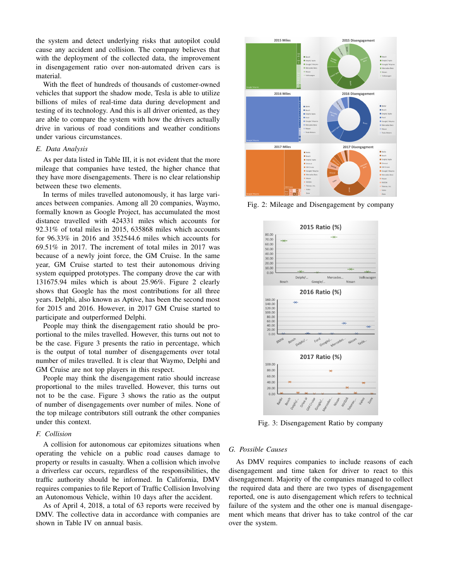the system and detect underlying risks that autopilot could cause any accident and collision. The company believes that with the deployment of the collected data, the improvement in disengagement ratio over non-automated driven cars is material.

With the fleet of hundreds of thousands of customer-owned vehicles that support the shadow mode, Tesla is able to utilize billions of miles of real-time data during development and testing of its technology. And this is all driver oriented, as they are able to compare the system with how the drivers actually drive in various of road conditions and weather conditions under various circumstances.

#### *E. Data Analysis*

As per data listed in Table III, it is not evident that the more mileage that companies have tested, the higher chance that they have more disengagements. There is no clear relationship between these two elements.

In terms of miles travelled autonomously, it has large variances between companies. Among all 20 companies, Waymo, formally known as Google Project, has accumulated the most distance travelled with 424331 miles which accounts for 92.31% of total miles in 2015, 635868 miles which accounts for 96.33% in 2016 and 352544.6 miles which accounts for 69.51% in 2017. The increment of total miles in 2017 was because of a newly joint force, the GM Cruise. In the same year, GM Cruise started to test their autonomous driving system equipped prototypes. The company drove the car with 131675.94 miles which is about 25.96%. Figure 2 clearly shows that Google has the most contributions for all three years. Delphi, also known as Aptive, has been the second most for 2015 and 2016. However, in 2017 GM Cruise started to participate and outperformed Delphi.

People may think the disengagement ratio should be proportional to the miles travelled. However, this turns out not to be the case. Figure 3 presents the ratio in percentage, which is the output of total number of disengagements over total number of miles travelled. It is clear that Waymo, Delphi and GM Cruise are not top players in this respect.

People may think the disengagement ratio should increase proportional to the miles travelled. However, this turns out not to be the case. Figure 3 shows the ratio as the output of number of disengagements over number of miles. None of the top mileage contributors still outrank the other companies under this context.

#### *F. Collision*

A collision for autonomous car epitomizes situations when operating the vehicle on a public road causes damage to property or results in casualty. When a collision which involve a driverless car occurs, regardless of the responsibilities, the traffic authority should be informed. In California, DMV requires companies to file Report of Traffic Collision Involving an Autonomous Vehicle, within 10 days after the accident.

As of April 4, 2018, a total of 63 reports were received by DMV. The collective data in accordance with companies are shown in Table IV on annual basis.



Fig. 2: Mileage and Disengagement by company



Fig. 3: Disengagement Ratio by company

#### *G. Possible Causes*

As DMV requires companies to include reasons of each disengagement and time taken for driver to react to this disengagement. Majority of the companies managed to collect the required data and there are two types of disengagement reported, one is auto disengagement which refers to technical failure of the system and the other one is manual disengagement which means that driver has to take control of the car over the system.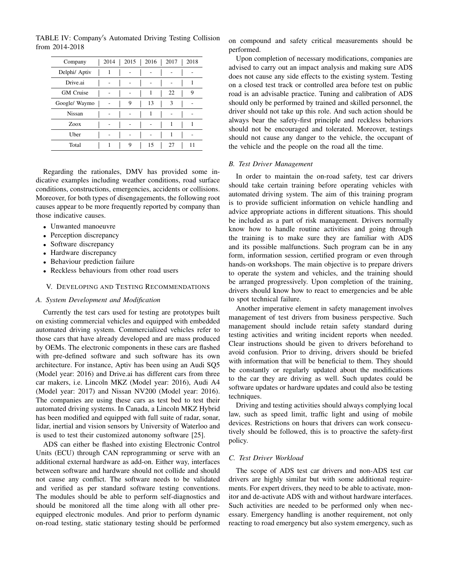| Company          | 2014 |   | $2015$   2016 | 2017 | 2018 |
|------------------|------|---|---------------|------|------|
| Delphi/ Aptiv    | 1    |   |               |      |      |
| Drive.ai         |      |   |               |      |      |
| <b>GM</b> Cruise |      |   | 1             | 22   | 9    |
| Google/ Waymo    |      | 9 | 13            | 3    |      |
| Nissan           |      |   | 1             |      |      |
| Zoox             |      |   |               |      |      |
| Uber             |      |   |               |      |      |
| Total            |      | 9 | 15            | 27   | 11   |

TABLE IV: Company's Automated Driving Testing Collision from 2014-2018

Regarding the rationales, DMV has provided some indicative examples including weather conditions, road surface conditions, constructions, emergencies, accidents or collisions. Moreover, for both types of disengagements, the following root causes appear to be more frequently reported by company than those indicative causes.

- Unwanted manoeuvre
- Perception discrepancy
- Software discrepancy
- Hardware discrepancy
- Behaviour prediction failure
- Reckless behaviours from other road users

#### V. DEVELOPING AND TESTING RECOMMENDATIONS

#### *A. System Development and Modification*

Currently the test cars used for testing are prototypes built on existing commercial vehicles and equipped with embedded automated driving system. Commercialized vehicles refer to those cars that have already developed and are mass produced by OEMs. The electronic components in these cars are flashed with pre-defined software and such software has its own architecture. For instance, Aptiv has been using an Audi SQ5 (Model year: 2016) and Drive.ai has different cars from three car makers, i.e. Lincoln MKZ (Model year: 2016), Audi A4 (Model year: 2017) and Nissan NV200 (Model year: 2016). The companies are using these cars as test bed to test their automated driving systems. In Canada, a Lincoln MKZ Hybrid has been modified and equipped with full suite of radar, sonar, lidar, inertial and vision sensors by University of Waterloo and is used to test their customized autonomy software [25].

ADS can either be flashed into existing Electronic Control Units (ECU) through CAN reprogramming or serve with an additional external hardware as add-on. Either way, interfaces between software and hardware should not collide and should not cause any conflict. The software needs to be validated and verified as per standard software testing conventions. The modules should be able to perform self-diagnostics and should be monitored all the time along with all other preequipped electronic modules. And prior to perform dynamic on-road testing, static stationary testing should be performed

on compound and safety critical measurements should be performed.

Upon completion of necessary modifications, companies are advised to carry out an impact analysis and making sure ADS does not cause any side effects to the existing system. Testing on a closed test track or controlled area before test on public road is an advisable practice. Tuning and calibration of ADS should only be performed by trained and skilled personnel, the driver should not take up this role. And such action should be always bear the safety-first principle and reckless behaviors should not be encouraged and tolerated. Moreover, testings should not cause any danger to the vehicle, the occupant of the vehicle and the people on the road all the time.

#### *B. Test Driver Management*

In order to maintain the on-road safety, test car drivers should take certain training before operating vehicles with automated driving system. The aim of this training program is to provide sufficient information on vehicle handling and advice appropriate actions in different situations. This should be included as a part of risk management. Drivers normally know how to handle routine activities and going through the training is to make sure they are familiar with ADS and its possible malfunctions. Such program can be in any form, information session, certified program or even through hands-on workshops. The main objective is to prepare drivers to operate the system and vehicles, and the training should be arranged progressively. Upon completion of the training, drivers should know how to react to emergencies and be able to spot technical failure.

Another imperative element in safety management involves management of test drivers from business perspective. Such management should include retain safety standard during testing activities and writing incident reports when needed. Clear instructions should be given to drivers beforehand to avoid confusion. Prior to driving, drivers should be briefed with information that will be beneficial to them. They should be constantly or regularly updated about the modifications to the car they are driving as well. Such updates could be software updates or hardware updates and could also be testing techniques.

Driving and testing activities should always complying local law, such as speed limit, traffic light and using of mobile devices. Restrictions on hours that drivers can work consecutively should be followed, this is to proactive the safety-first policy.

#### *C. Test Driver Workload*

The scope of ADS test car drivers and non-ADS test car drivers are highly similar but with some additional requirements. For expert drivers, they need to be able to activate, monitor and de-activate ADS with and without hardware interfaces. Such activities are needed to be performed only when necessary. Emergency handling is another requirement, not only reacting to road emergency but also system emergency, such as